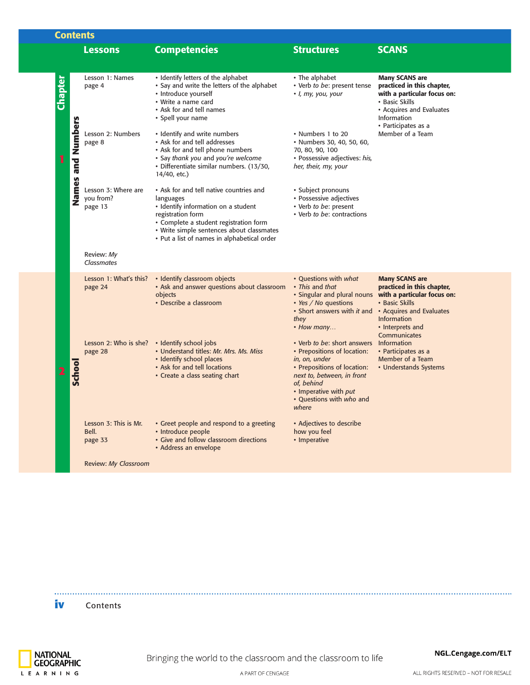|         | <b>Contents</b>   |                                             |                                                                                                                                                                                                                                                        |                                                                                                                                                                                                                                  |                                                                                                                                                                        |  |
|---------|-------------------|---------------------------------------------|--------------------------------------------------------------------------------------------------------------------------------------------------------------------------------------------------------------------------------------------------------|----------------------------------------------------------------------------------------------------------------------------------------------------------------------------------------------------------------------------------|------------------------------------------------------------------------------------------------------------------------------------------------------------------------|--|
|         |                   | <b>Lessons</b>                              | <b>Competencies</b>                                                                                                                                                                                                                                    | <b>Structures</b>                                                                                                                                                                                                                | <b>SCANS</b>                                                                                                                                                           |  |
|         |                   |                                             |                                                                                                                                                                                                                                                        |                                                                                                                                                                                                                                  |                                                                                                                                                                        |  |
| Chapter |                   | Lesson 1: Names<br>page 4                   | • Identify letters of the alphabet<br>• Say and write the letters of the alphabet<br>• Introduce yourself<br>• Write a name card<br>• Ask for and tell names<br>• Spell your name                                                                      | • The alphabet<br>• Verb to be: present tense<br>· I, my, you, your                                                                                                                                                              | <b>Many SCANS are</b><br>practiced in this chapter,<br>with a particular focus on:<br>• Basic Skills<br>• Acquires and Evaluates<br>Information<br>• Participates as a |  |
| 1       | Names and Numbers | Lesson 2: Numbers<br>page 8                 | • Identify and write numbers<br>• Ask for and tell addresses<br>• Ask for and tell phone numbers<br>• Say thank you and you're welcome<br>· Differentiate similar numbers. (13/30,<br>14/40, etc.)                                                     | • Numbers 1 to 20<br>· Numbers 30, 40, 50, 60,<br>70, 80, 90, 100<br>· Possessive adjectives: his,<br>her, their, my, your                                                                                                       | Member of a Team                                                                                                                                                       |  |
|         |                   | Lesson 3: Where are<br>you from?<br>page 13 | • Ask for and tell native countries and<br>languages<br>• Identify information on a student<br>registration form<br>• Complete a student registration form<br>• Write simple sentences about classmates<br>• Put a list of names in alphabetical order | · Subject pronouns<br>• Possessive adjectives<br>• Verb to be: present<br>• Verb to be: contractions                                                                                                                             |                                                                                                                                                                        |  |
|         |                   | Review: My<br><b>Classmates</b>             |                                                                                                                                                                                                                                                        |                                                                                                                                                                                                                                  |                                                                                                                                                                        |  |
|         |                   | Lesson 1: What's this?<br>page 24           | • Identify classroom objects<br>• Ask and answer questions about classroom<br>objects<br>• Describe a classroom                                                                                                                                        | • Ouestions with what<br>• This and that<br>. Singular and plural nouns with a particular focus on:<br>• Yes / No questions<br>• Short answers with it and • Acquires and Evaluates<br>they<br>• How many                        | <b>Many SCANS are</b><br>practiced in this chapter,<br>• Basic Skills<br><b>Information</b><br>• Interprets and<br>Communicates                                        |  |
|         | School            | Lesson 2: Who is she?<br>page 28            | • Identify school jobs<br>• Understand titles: Mr. Mrs. Ms. Miss<br>• Identify school places<br>• Ask for and tell locations<br>• Create a class seating chart                                                                                         | • Verb to be: short answers Information<br>• Prepositions of location:<br>in, on, under<br>• Prepositions of location:<br>next to, between, in front<br>of, behind<br>• Imperative with put<br>• Ouestions with who and<br>where | • Participates as a<br>Member of a Team<br>• Understands Systems                                                                                                       |  |
|         |                   | Lesson 3: This is Mr.<br>Bell.<br>page 33   | • Greet people and respond to a greeting<br>• Introduce people<br>• Give and follow classroom directions<br>• Address an envelope                                                                                                                      | • Adjectives to describe<br>how you feel<br>• Imperative                                                                                                                                                                         |                                                                                                                                                                        |  |
|         |                   | <b>Review: My Classroom</b>                 |                                                                                                                                                                                                                                                        |                                                                                                                                                                                                                                  |                                                                                                                                                                        |  |
|         |                   |                                             |                                                                                                                                                                                                                                                        |                                                                                                                                                                                                                                  |                                                                                                                                                                        |  |

**iv** Contents

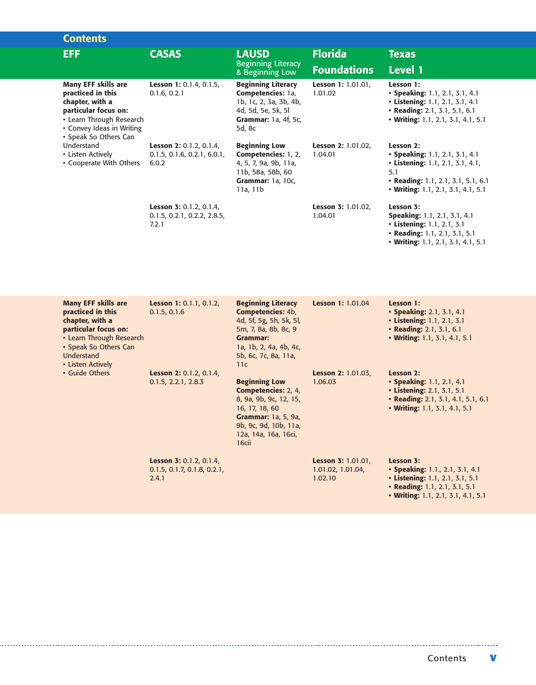| <b>Contents</b>                                                                                                                                                              |                                                                        |                                                                                                                                                                                                                                   |                                                           |                                                                                                                                                                    |
|------------------------------------------------------------------------------------------------------------------------------------------------------------------------------|------------------------------------------------------------------------|-----------------------------------------------------------------------------------------------------------------------------------------------------------------------------------------------------------------------------------|-----------------------------------------------------------|--------------------------------------------------------------------------------------------------------------------------------------------------------------------|
| <b>EFF</b>                                                                                                                                                                   | <b>CASAS</b>                                                           | <b>LAUSD</b>                                                                                                                                                                                                                      | <b>Florida</b>                                            | <b>Texas</b>                                                                                                                                                       |
|                                                                                                                                                                              |                                                                        | <b>Beginning Literacy</b><br>& Beginning Low                                                                                                                                                                                      | <b>Foundations</b>                                        | <b>Level 1</b>                                                                                                                                                     |
| <b>Many EFF skills are</b><br>practiced in this<br>chapter, with a<br>particular focus on:<br>• Learn Through Research<br>• Convey Ideas in Writing<br>• Speak So Others Can | Lesson 1: 0.1.4, 0.1.5,<br>0.1.6, 0.2.1                                | <b>Beginning Literacy</b><br>Competencies: 1a,<br>1b, 1c, 2, 3a, 3b, 4b,<br>4d, 5d, 5e, 5k, 5l<br>Grammar: 1a, 4f, 5c,<br>5d, 8c                                                                                                  | Lesson 1: 1.01.01,<br>1.01.02                             | Lesson 1:<br>• Speaking: 1.1, 2.1, 3.1, 4.1<br>• Listening: 1.1, 2.1, 3.1, 4.1<br>• Reading: 2.1, 3.1, 5.1, 6.1<br>• Writing: 1.1, 2.1, 3.1, 4.1, 5.1              |
| Understand<br>• Listen Actively<br>• Cooperate With Others                                                                                                                   | <b>Lesson 2: 0.1.2, 0.1.4,</b><br>0.1.5, 0.1.6, 0.2.1, 6.0.1,<br>6.0.2 | <b>Beginning Low</b><br>Competencies: 1, 2,<br>4, 5, 7, 9a, 9b, 11a,<br>11b, 58a, 58b, 60<br><b>Grammar: 1a, 10c,</b><br>11a, 11b                                                                                                 | <b>Lesson 2: 1.01.02,</b><br>1.04.01                      | Lesson 2:<br>• Speaking: 1.1, 2.1, 3.1, 4.1<br>• Listening: 1.1, 2.1, 3.1, 4.1,<br>5.1<br>• Reading: 1.1, 2.1, 3.1, 5.1, 6.1<br>• Writing: 1.1, 2.1, 3.1, 4.1, 5.1 |
|                                                                                                                                                                              | Lesson 3: 0.1.2, 0.1.4,<br>0.1.5, 0.2.1, 0.2.2, 2.8.5,<br>7.2.1        |                                                                                                                                                                                                                                   | <b>Lesson 3: 1.01.02,</b><br>1.04.01                      | Lesson 3:<br>Speaking: 1.1, 2.1, 3.1, 4.1<br>• Listening: 1.1, 2.1, 3.1<br>• Reading: 1.1, 2.1, 3.1, 5.1<br>• Writing: 1.1, 2.1, 3.1, 4.1, 5.1                     |
| <b>Many EFF skills are</b><br>practiced in this<br>chapter, with a<br>particular focus on:<br>• Learn Through Research                                                       | Lesson 1: 0.1.1, 0.1.2,<br>0.1.5, 0.1.6                                | <b>Beginning Literacy</b><br>Competencies: 4b,<br>4d, 5f, 5g, 5h, 5k, 5l,<br>5m, 7, 8a, 8b, 8c, 9<br><b>Grammar:</b>                                                                                                              | <b>Lesson 1: 1.01.04</b>                                  | Lesson 1:<br>• Speaking: 2.1, 3.1, 4.1<br>• Listening: 1.1, 2.1, 3.1<br>• Reading: 2.1, 3.1, 6.1<br>• Writing: 1.1, 3.1, 4.1, 5.1                                  |
| • Speak So Others Can<br>Understand<br>• Listen Actively<br>• Guide Others                                                                                                   | Lesson 2: 0.1.2, 0.1.4,<br>0.1.5, 2.2.1, 2.8.3                         | 1a, 1b, 2, 4a, 4b, 4c,<br>5b, 6c, 7c, 8a, 11a,<br>11c<br><b>Beginning Low</b><br>Competencies: 2, 4,<br>8, 9a, 9b, 9c, 12, 15,<br>16, 17, 18, 60<br>Grammar: 1a, 5, 9a,<br>9b, 9c, 9d, 10b, 11a,<br>12a, 14a, 16a, 16ci,<br>16cii | <b>Lesson 2: 1.01.03,</b><br>1.06.03                      | Lesson 2:<br>• Speaking: 1.1, 2.1, 4.1<br>• Listening: 2.1, 3.1, 5.1<br>• Reading: 2.1, 3.1, 4.1, 5.1, 6.1<br>• Writing: 1.1, 3.1, 4.1, 5.1                        |
|                                                                                                                                                                              | Lesson 3: 0.1.2, 0.1.4,<br>0.1.5, 0.1.7, 0.1.8, 0.2.1,<br>2.4.1        |                                                                                                                                                                                                                                   | <b>Lesson 3: 1.01.01,</b><br>1.01.02, 1.01.04,<br>1.02.10 | Lesson 3:<br>• Speaking: 1.1., 2.1, 3.1, 4.1<br>• Listening: 1.1, 2.1, 3.1, 5.1<br>• Reading: 1.1, 2.1, 3.1, 5.1<br>• Writing: 1.1, 2.1, 3.1, 4.1, 5.1             |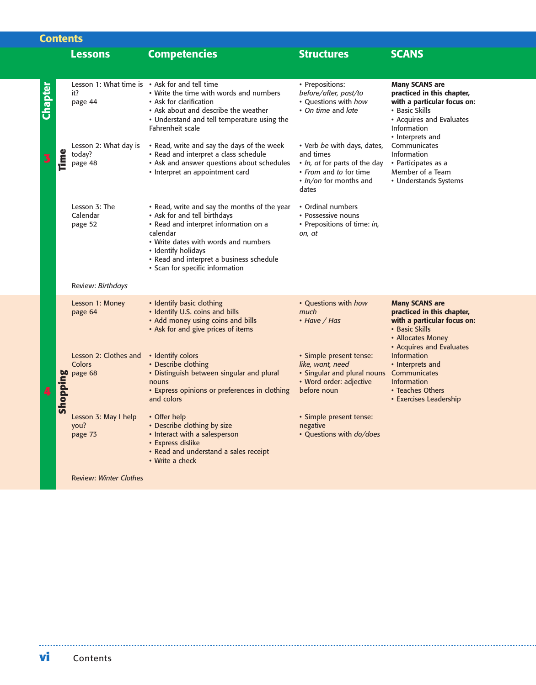|         | <b>Contents</b> |                                                                  |                                                                                                                                                                                                                                                                                 |                                                                                                                                        |                                                                                                                                                        |
|---------|-----------------|------------------------------------------------------------------|---------------------------------------------------------------------------------------------------------------------------------------------------------------------------------------------------------------------------------------------------------------------------------|----------------------------------------------------------------------------------------------------------------------------------------|--------------------------------------------------------------------------------------------------------------------------------------------------------|
|         |                 | <b>Lessons</b>                                                   | <b>Competencies</b>                                                                                                                                                                                                                                                             | <b>Structures</b>                                                                                                                      | <b>SCANS</b>                                                                                                                                           |
|         |                 |                                                                  |                                                                                                                                                                                                                                                                                 |                                                                                                                                        |                                                                                                                                                        |
| Chapter |                 | Lesson 1: What time is • Ask for and tell time<br>it?<br>page 44 | • Write the time with words and numbers<br>• Ask for clarification<br>• Ask about and describe the weather<br>• Understand and tell temperature using the<br>Fahrenheit scale                                                                                                   | • Prepositions:<br>before/after, past/to<br>• Questions with how<br>• On time and late                                                 | <b>Many SCANS are</b><br>practiced in this chapter,<br>with a particular focus on:<br>• Basic Skills<br>• Acquires and Evaluates<br>Information        |
|         | <b>Time</b>     | Lesson 2: What day is<br>today?<br>page 48                       | • Read, write and say the days of the week<br>• Read and interpret a class schedule<br>• Ask and answer questions about schedules<br>• Interpret an appointment card                                                                                                            | • Verb be with days, dates,<br>and times<br>. In, at for parts of the day<br>• From and to for time<br>· In/on for months and<br>dates | • Interprets and<br>Communicates<br>Information<br>• Participates as a<br>Member of a Team<br>• Understands Systems                                    |
|         |                 | Lesson 3: The<br>Calendar<br>page 52                             | • Read, write and say the months of the year<br>• Ask for and tell birthdays<br>· Read and interpret information on a<br>calendar<br>• Write dates with words and numbers<br>• Identify holidays<br>• Read and interpret a business schedule<br>• Scan for specific information | • Ordinal numbers<br>• Possessive nouns<br>• Prepositions of time: in,<br>on, at                                                       |                                                                                                                                                        |
|         |                 | Review: Birthdays                                                |                                                                                                                                                                                                                                                                                 |                                                                                                                                        |                                                                                                                                                        |
|         |                 | Lesson 1: Money<br>page 64                                       | • Identify basic clothing<br>· Identify U.S. coins and bills<br>• Add money using coins and bills<br>• Ask for and give prices of items                                                                                                                                         | • Questions with how<br>much<br>• Have / Has                                                                                           | <b>Many SCANS are</b><br>practiced in this chapter,<br>with a particular focus on:<br>• Basic Skills<br>• Allocates Money                              |
|         | Shopping        | Lesson 2: Clothes and<br>Colors<br>page 68                       | • Identify colors<br>• Describe clothing<br>• Distinguish between singular and plural<br>nouns<br>• Express opinions or preferences in clothing<br>and colors                                                                                                                   | · Simple present tense:<br>like, want, need<br>• Singular and plural nouns<br>• Word order: adjective<br>before noun                   | • Acquires and Evaluates<br><b>Information</b><br>• Interprets and<br>Communicates<br><b>Information</b><br>• Teaches Others<br>• Exercises Leadership |
|         |                 | Lesson 3: May I help<br>you?<br>page 73                          | • Offer help<br>• Describe clothing by size<br>• Interact with a salesperson<br>• Express dislike<br>• Read and understand a sales receipt<br>• Write a check                                                                                                                   | · Simple present tense:<br>negative<br>· Questions with do/does                                                                        |                                                                                                                                                        |
|         |                 | <b>Review: Winter Clothes</b>                                    |                                                                                                                                                                                                                                                                                 |                                                                                                                                        |                                                                                                                                                        |
|         |                 |                                                                  |                                                                                                                                                                                                                                                                                 |                                                                                                                                        |                                                                                                                                                        |
| VÍ      |                 | Contents                                                         |                                                                                                                                                                                                                                                                                 |                                                                                                                                        |                                                                                                                                                        |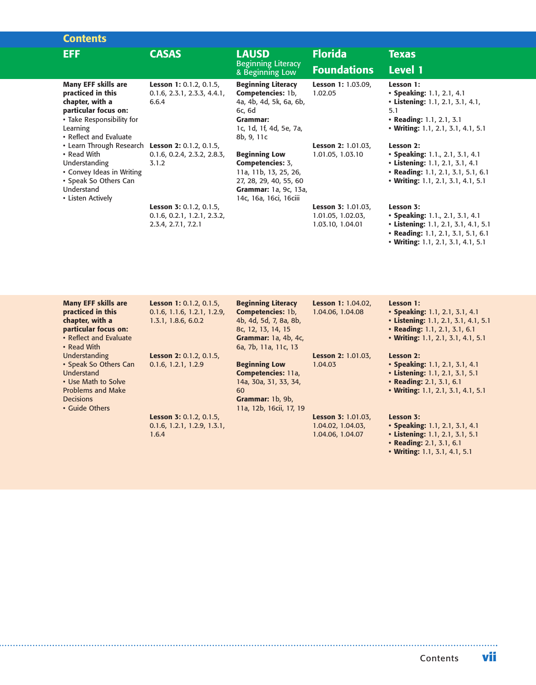| <b>Contents</b>                                                                                                                                                           |                                                                               |                                                                                                                                                 |                                                             |                                                                                                                                                                  |  |
|---------------------------------------------------------------------------------------------------------------------------------------------------------------------------|-------------------------------------------------------------------------------|-------------------------------------------------------------------------------------------------------------------------------------------------|-------------------------------------------------------------|------------------------------------------------------------------------------------------------------------------------------------------------------------------|--|
| <b>EFF</b>                                                                                                                                                                | <b>CASAS</b>                                                                  | <b>LAUSD</b>                                                                                                                                    | <b>Florida</b>                                              | <b>Texas</b>                                                                                                                                                     |  |
|                                                                                                                                                                           |                                                                               | <b>Beginning Literacy</b><br>& Beginning Low-                                                                                                   | <b>Foundations</b>                                          | <b>Level 1</b>                                                                                                                                                   |  |
| <b>Many EFF skills are</b><br>practiced in this<br>chapter, with a<br>particular focus on:<br>• Take Responsibility for<br>Learning<br>• Reflect and Evaluate             | Lesson 1: 0.1.2, 0.1.5,<br>$0.1.6$ , $2.3.1$ , $2.3.3$ , $4.4.1$ ,<br>6.6.4   | <b>Beginning Literacy</b><br>Competencies: 1b,<br>4a, 4b, 4d, 5k, 6a, 6b,<br>6c, 6d<br><b>Grammar:</b><br>1c, 1d, 1f, 4d, 5e, 7a,<br>8b, 9, 11c | Lesson 1: 1.03.09,<br>1.02.05                               | Lesson 1:<br>• Speaking: 1.1, 2.1, 4.1<br>• Listening: 1.1, 2.1, 3.1, 4.1,<br>5.1<br>• Reading: 1.1, 2.1, 3.1<br>• Writing: 1.1, 2.1, 3.1, 4.1, 5.1              |  |
| • Learn Through Research Lesson 2: 0.1.2, 0.1.5,<br>• Read With<br>Understanding<br>• Convey Ideas in Writing<br>• Speak So Others Can<br>Understand<br>• Listen Actively | 0.1.6, 0.2.4, 2.3.2, 2.8.3,<br>3.1.2                                          | <b>Beginning Low</b><br>Competencies: 3,<br>11a, 11b, 13, 25, 26,<br>27, 28, 29, 40, 55, 60<br>Grammar: 1a, 9c, 13a,<br>14c, 16a, 16ci, 16ciii  | Lesson 2: 1.01.03,<br>1.01.05, 1.03.10                      | Lesson 2:<br>• Speaking: 1.1., 2.1, 3.1, 4.1<br>• Listening: 1.1, 2.1, 3.1, 4.1<br>• Reading: 1.1, 2.1, 3.1, 5.1, 6.1<br>• Writing: 1.1, 2.1, 3.1, 4.1, 5.1      |  |
|                                                                                                                                                                           | Lesson 3: 0.1.2, 0.1.5,<br>0.1.6, 0.2.1, 1.2.1, 2.3.2,<br>2.3.4, 2.7.1, 7.2.1 |                                                                                                                                                 | Lesson 3: 1.01.03,<br>1.01.05, 1.02.03,<br>1.03.10, 1.04.01 | Lesson 3:<br>• Speaking: 1.1., 2.1, 3.1, 4.1<br>• Listening: 1.1, 2.1, 3.1, 4.1, 5.1<br>• Reading: 1.1, 2.1, 3.1, 5.1, 6.1<br>• Writing: 1.1, 2.1, 3.1, 4.1, 5.1 |  |
| <b>Many EFF skills are</b><br>practiced in this<br>chapter, with a<br>particular focus on:<br>• Reflect and Evaluate<br>• Read With                                       | Lesson 1: 0.1.2, 0.1.5,<br>0.1.6, 1.1.6, 1.2.1, 1.2.9,<br>1.3.1, 1.8.6, 6.0.2 | <b>Beginning Literacy</b><br>Competencies: 1b,<br>4b, 4d, 5d, 7, 8a, 8b,<br>8c, 12, 13, 14, 15<br>Grammar: 1a, 4b, 4c,<br>6a, 7b, 11a, 11c, 13  | Lesson 1: 1.04.02,<br>1.04.06, 1.04.08                      | Lesson 1:<br>• Speaking: 1.1, 2.1, 3.1, 4.1<br>• Listening: 1.1, 2.1, 3.1, 4.1, 5.1<br>• Reading: 1.1, 2.1, 3.1, 6.1<br>• Writing: 1.1, 2.1, 3.1, 4.1, 5.1       |  |
| Understanding<br>• Speak So Others Can<br>Understand                                                                                                                      | Lesson 2: 0.1.2, 0.1.5,<br>0.1.6, 1.2.1, 1.2.9                                | <b>Beginning Low</b><br>Competencies: 11a,                                                                                                      | Lesson 2: 1.01.03,<br>1.04.03                               | Lesson 2:<br>• Speaking: 1.1, 2.1, 3.1, 4.1<br>• Listening: 1.1, 2.1, 3.1, 5.1                                                                                   |  |

**Lesson 3:** 0.1.2, 0.1.5, 0.1.6, 1.2.1, 1.2.9, 1.3.1, **Competencies:** 11a, 14a, 30a, 31, 33, 34, 60 **Grammar:** 1b, 9b, 11a, 12b, 16cii, 17, 19 **Lesson 3:** 1.01.03, 1.04.02, 1.04.03,

1.04.06, 1.04.07

• Use Math to Solve Problems and Make

1.6.4

Decisions • Guide Others

**• Speaking:** 1.1, 2.1, 3.1, 4.1

**Lesson 3:** 

**• Reading:** 2.1, 3.1, 6.1 **• Writing:** 1.1, 2.1, 3.1, 4.1, 5.1

- **• Listening:** 1.1, 2.1, 3.1, 5.1
- **• Reading:** 2.1, 3.1, 6.1
- **Writing:** 1.1, 3.1, 4.1, 5.1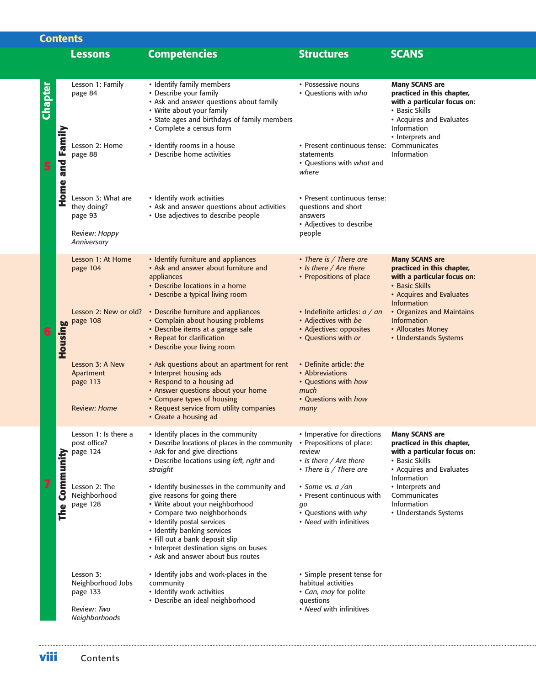|                        | <b>Lessons</b>                                                             | <b>Competencies</b>                                                                                                                                                                                                                                                                                                        | <b>Structures</b>                                                                                                     | <b>SCANS</b>                                                                                                                                                               |
|------------------------|----------------------------------------------------------------------------|----------------------------------------------------------------------------------------------------------------------------------------------------------------------------------------------------------------------------------------------------------------------------------------------------------------------------|-----------------------------------------------------------------------------------------------------------------------|----------------------------------------------------------------------------------------------------------------------------------------------------------------------------|
|                        | Lesson 1: Family<br>page 84                                                | • Identify family members<br>• Describe your family<br>• Ask and answer questions about family<br>• Write about your family<br>• State ages and birthdays of family members<br>• Complete a census form                                                                                                                    | • Possessive nouns<br>• Questions with who                                                                            | <b>Many SCANS are</b><br>practiced in this chapter,<br>with a particular focus on:<br>• Basic Skills<br>• Acquires and Evaluates<br><b>Information</b><br>• Interprets and |
| <b>Home and Family</b> | Lesson 2: Home<br>page 88                                                  | • Identify rooms in a house<br>• Describe home activities                                                                                                                                                                                                                                                                  | · Present continuous tense: Communicates<br>statements<br>• Questions with what and<br>where                          | <b>Information</b>                                                                                                                                                         |
|                        | Lesson 3: What are<br>they doing?<br>page 93                               | • Identify work activities<br>• Ask and answer questions about activities<br>• Use adjectives to describe people                                                                                                                                                                                                           | • Present continuous tense:<br>questions and short<br>answers<br>• Adjectives to describe                             |                                                                                                                                                                            |
|                        | Review: Happy<br>Anniversary                                               |                                                                                                                                                                                                                                                                                                                            | people                                                                                                                |                                                                                                                                                                            |
|                        | Lesson 1: At Home<br>page 104                                              | • Identify furniture and appliances<br>• Ask and answer about furniture and<br>appliances<br>• Describe locations in a home<br>• Describe a typical living room                                                                                                                                                            | • There is / There are<br>• Is there / Are there<br>• Prepositions of place                                           | <b>Many SCANS are</b><br>practiced in this chapter,<br>with a particular focus on:<br>• Basic Skills<br>• Acquires and Evaluates<br><b>Information</b>                     |
| Housing                | Lesson 2: New or old?<br>page 108                                          | • Describe furniture and appliances<br>• Complain about housing problems<br>• Describe items at a garage sale<br>• Repeat for clarification<br>• Describe your living room                                                                                                                                                 | • Indefinite articles: $a / an$<br>• Adjectives with be<br>• Adjectives: opposites<br>• Questions with or             | • Organizes and Maintains<br><b>Information</b><br>• Allocates Money<br>• Understands Systems                                                                              |
|                        | Lesson 3: A New<br>Apartment<br>page 113<br><b>Review: Home</b>            | • Ask questions about an apartment for rent<br>• Interpret housing ads<br>• Respond to a housing ad<br>• Answer questions about your home<br>• Compare types of housing<br>• Request service from utility companies<br>• Create a housing ad                                                                               | • Definite article: the<br>• Abbreviations<br>• Questions with how<br>much<br>• Questions with how<br>many            |                                                                                                                                                                            |
| Community              | Lesson 1: Is there a<br>post office?<br>page 124                           | • Identify places in the community<br>• Describe locations of places in the community<br>• Ask for and give directions<br>· Describe locations using left, right and<br>straight                                                                                                                                           | • Imperative for directions<br>• Prepositions of place:<br>review<br>• Is there / Are there<br>• There is / There are | <b>Many SCANS are</b><br>practiced in this chapter,<br>with a particular focus on:<br>• Basic Skills<br>• Acquires and Evaluates                                           |
| The                    | Lesson 2: The<br>Neighborhood<br>page 128                                  | • Identify businesses in the community and<br>give reasons for going there<br>• Write about your neighborhood<br>• Compare two neighborhoods<br>· Identify postal services<br>• Identify banking services<br>· Fill out a bank deposit slip<br>• Interpret destination signs on buses<br>• Ask and answer about bus routes | • Some vs. $a / an$<br>• Present continuous with<br>qo<br>• Questions with why<br>• Need with infinitives             | Information<br>• Interprets and<br>Communicates<br>Information<br>• Understands Systems                                                                                    |
|                        | Lesson 3:<br>Neighborhood Jobs<br>page 133<br>Review: Two<br>Neighborhoods | • Identify jobs and work-places in the<br>community<br>· Identify work activities<br>· Describe an ideal neighborhood                                                                                                                                                                                                      | • Simple present tense for<br>habitual activities<br>• Can, may for polite<br>questions<br>• Need with infinitives    |                                                                                                                                                                            |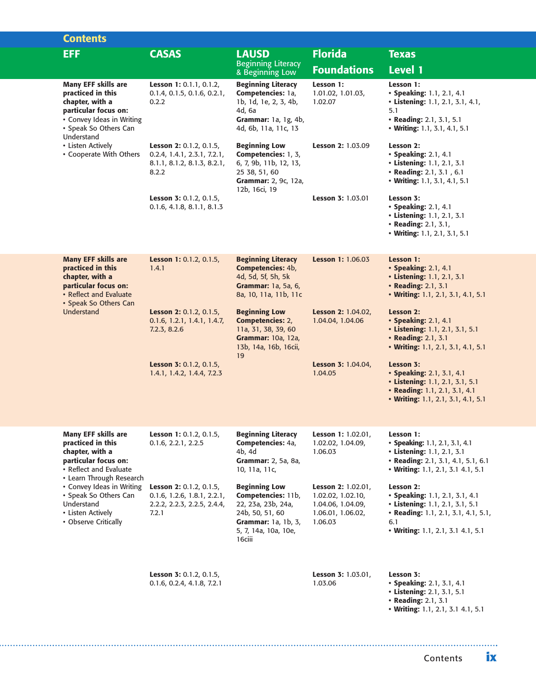|  | <b>Contents</b>                                                                                                                                                |                                                                                                          |                                                                                                                                                       |                                                                                              |                                                                                                                                                                   |
|--|----------------------------------------------------------------------------------------------------------------------------------------------------------------|----------------------------------------------------------------------------------------------------------|-------------------------------------------------------------------------------------------------------------------------------------------------------|----------------------------------------------------------------------------------------------|-------------------------------------------------------------------------------------------------------------------------------------------------------------------|
|  | EFF.                                                                                                                                                           | <b>CASAS</b>                                                                                             | <b>LAUSD</b><br><b>Beginning Literacy</b>                                                                                                             | <b>Florida</b><br><b>Foundations</b>                                                         | <b>Texas</b><br>Level 1                                                                                                                                           |
|  | <b>Many EFF skills are</b><br>practiced in this<br>chapter, with a<br>particular focus on:<br>• Convey Ideas in Writing<br>· Speak So Others Can<br>Understand | Lesson 1: 0.1.1, 0.1.2,<br>0.1.4, 0.1.5, 0.1.6, 0.2.1,<br>0.2.2                                          | & Beginning Low-<br><b>Beginning Literacy</b><br>Competencies: 1a,<br>1b, 1d, 1e, 2, 3, 4b,<br>4d, 6a<br>Grammar: 1a, 1g, 4b,<br>4d, 6b, 11a, 11c, 13 | Lesson 1:<br>1.01.02, 1.01.03,<br>1.02.07                                                    | Lesson 1:<br>• Speaking: 1.1, 2.1, 4.1<br>• Listening: 1.1, 2.1, 3.1, 4.1,<br>5.1<br>• Reading: 2.1, 3.1, 5.1<br>• Writing: 1.1, 3.1, 4.1, 5.1                    |
|  | • Listen Actively<br>• Cooperate With Others                                                                                                                   | Lesson 2: 0.1.2, 0.1.5,<br>0.2.4, 1.4.1, 2.3.1, 7.2.1,<br>8.1.1, 8.1.2, 8.1.3, 8.2.1,<br>8.2.2           | <b>Beginning Low</b><br>Competencies: 1, 3,<br>6, 7, 9b, 11b, 12, 13,<br>25 38, 51, 60<br>Grammar: 2, 9c, 12a,<br>12b, 16ci, 19                       | Lesson 2: 1.03.09                                                                            | Lesson 2:<br>• Speaking: 2.1, 4.1<br>• Listening: 1.1, 2.1, 3.1<br>• Reading: 2.1, 3.1, 6.1<br>• Writing: 1.1, 3.1, 4.1, 5.1                                      |
|  |                                                                                                                                                                | Lesson 3: 0.1.2, 0.1.5,<br>0.1.6, 4.1.8, 8.1.1, 8.1.3                                                    |                                                                                                                                                       | Lesson 3: 1.03.01                                                                            | Lesson 3:<br>• Speaking: 2.1, 4.1<br>• Listening: 1.1, 2.1, 3.1<br>• Reading: 2.1, 3.1,<br>• Writing: 1.1, 2.1, 3.1, 5.1                                          |
|  | <b>Many EFF skills are</b><br>practiced in this<br>chapter, with a<br>particular focus on:<br>• Reflect and Evaluate<br>• Speak So Others Can<br>Understand    | Lesson 1: 0.1.2, 0.1.5,<br>1.4.1                                                                         | <b>Beginning Literacy</b><br>Competencies: 4b,<br>4d, 5d, 5f, 5h, 5k<br>Grammar: 1a, 5a, 6,<br>8a, 10, 11a, 11b, 11c                                  | Lesson 1: 1.06.03                                                                            | Lesson 1:<br>• Speaking: 2.1, 4.1<br>• Listening: 1.1, 2.1, 3.1<br>• Reading: 2.1, 3.1<br>• Writing: 1.1, 2.1, 3.1, 4.1, 5.1                                      |
|  |                                                                                                                                                                | Lesson 2: 0.1.2, 0.1.5,<br>0.1.6, 1.2.1, 1.4.1, 1.4.7,<br>7.2.3, 8.2.6                                   | <b>Beginning Low</b><br><b>Competencies: 2,</b><br>11a, 31, 38, 39, 60<br>Grammar: 10a, 12a,<br>13b, 14a, 16b, 16cii,<br>19                           | Lesson 2: 1.04.02,<br>1.04.04, 1.04.06                                                       | Lesson 2:<br>• Speaking: 2.1, 4.1<br>• Listening: 1.1, 2.1, 3.1, 5.1<br>• Reading: 2.1, 3.1<br>• Writing: 1.1, 2.1, 3.1, 4.1, 5.1                                 |
|  |                                                                                                                                                                | Lesson 3: 0.1.2, 0.1.5,<br>1.4.1, 1.4.2, 1.4.4, 7.2.3                                                    |                                                                                                                                                       | Lesson 3: 1.04.04,<br>1.04.05                                                                | Lesson 3:<br>• Speaking: 2.1, 3.1, 4.1<br>• Listening: 1.1, 2.1, 3.1, 5.1<br>• Reading: 1.1, 2.1, 3.1, 4.1<br>• Writing: 1.1, 2.1, 3.1, 4.1, 5.1                  |
|  | <b>Many EFF skills are</b><br>practiced in this<br>chapter, with a<br>particular focus on:<br>• Reflect and Evaluate<br>• Learn Through Research               | Lesson 1: 0.1.2, 0.1.5,<br>0.1.6, 2.2.1, 2.2.5                                                           | <b>Beginning Literacy</b><br>Competencies: 4a,<br>4b, 4d<br>Grammar: 2, 5a, 8a,<br>10, 11a, 11c,                                                      | <b>Lesson 1: 1.02.01,</b><br>1.02.02, 1.04.09,<br>1.06.03                                    | Lesson 1:<br>• Speaking: 1.1, 2.1, 3.1, 4.1<br>• Listening: 1.1, 2.1, 3.1<br>• Reading: 2.1, 3.1, 4.1, 5.1, 6.1<br>• Writing: 1.1, 2.1, 3.1 4.1, 5.1              |
|  | • Convey Ideas in Writing<br>• Speak So Others Can<br>Understand<br>• Listen Actively<br>• Observe Critically                                                  | <b>Lesson 2: 0.1.2, 0.1.5,</b><br>$0.1.6$ , 1.2.6, 1.8.1, 2.2.1,<br>2.2.2, 2.2.3, 2.2.5, 2.4.4,<br>7.2.1 | <b>Beginning Low</b><br>Competencies: 11b,<br>22, 23a, 23b, 24a,<br>24b, 50, 51, 60<br>Grammar: 1a, 1b, 3,<br>5, 7, 14a, 10a, 10e,<br>16ciii          | Lesson 2: 1.02.01,<br>1.02.02, 1.02.10,<br>1.04.06, 1.04.09,<br>1.06.01, 1.06.02,<br>1.06.03 | Lesson 2:<br>• Speaking: 1.1, 2.1, 3.1, 4.1<br>• Listening: 1.1, 2.1, 3.1, 5.1<br>• Reading: 1.1, 2.1, 3.1, 4.1, 5.1,<br>6.1<br>• Writing: 1.1, 2.1, 3.1 4.1, 5.1 |
|  |                                                                                                                                                                | Lesson 3: 0.1.2, 0.1.5,<br>0.1.6, 0.2.4, 4.1.8, 7.2.1                                                    |                                                                                                                                                       | Lesson 3: 1.03.01,<br>1.03.06                                                                | Lesson 3:<br>• Speaking: 2.1, 3.1, 4.1<br>• Listening: 2.1, 3.1, 5.1<br>• Reading: 2.1, 3.1<br>• Writing: 1.1, 2.1, 3.1 4.1, 5.1                                  |

Contents **ix**

. . . . . . . . . . . . . . .

. . . . .

 $\overline{\mathbf{z}}$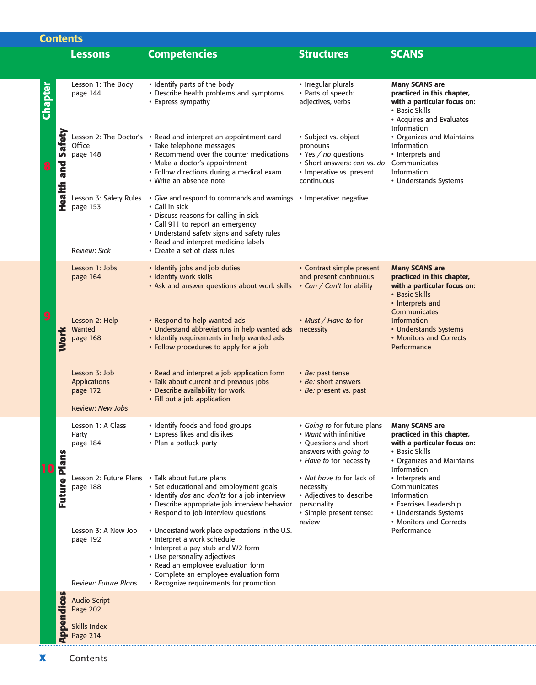| <b>Contents</b> |                   |                                                                             |                                                                                                                                                                                                                                                                                           |                                                                                                                                         |                                                                                                                                                   |  |  |
|-----------------|-------------------|-----------------------------------------------------------------------------|-------------------------------------------------------------------------------------------------------------------------------------------------------------------------------------------------------------------------------------------------------------------------------------------|-----------------------------------------------------------------------------------------------------------------------------------------|---------------------------------------------------------------------------------------------------------------------------------------------------|--|--|
|                 |                   | <b>Lessons</b>                                                              | <b>Competencies</b>                                                                                                                                                                                                                                                                       | <b>Structures</b>                                                                                                                       | <b>SCANS</b>                                                                                                                                      |  |  |
|                 |                   |                                                                             |                                                                                                                                                                                                                                                                                           |                                                                                                                                         |                                                                                                                                                   |  |  |
| Chapter         |                   | Lesson 1: The Body<br>page 144                                              | • Identify parts of the body<br>• Describe health problems and symptoms<br>• Express sympathy                                                                                                                                                                                             | • Irregular plurals<br>• Parts of speech:<br>adjectives, verbs                                                                          | <b>Many SCANS are</b><br>practiced in this chapter,<br>with a particular focus on:<br>• Basic Skills<br>• Acquires and Evaluates                  |  |  |
| 8               | Health and Safety | Office<br>page 148                                                          | Lesson 2: The Doctor's • Read and interpret an appointment card<br>• Take telephone messages<br>• Recommend over the counter medications<br>• Make a doctor's appointment<br>· Follow directions during a medical exam<br>• Write an absence note                                         | · Subject vs. object<br>pronouns<br>$\cdot$ Yes / no questions<br>· Short answers: can vs. do<br>• Imperative vs. present<br>continuous | <b>Information</b><br>• Organizes and Maintains<br>Information<br>• Interprets and<br>Communicates<br><b>Information</b><br>• Understands Systems |  |  |
|                 |                   | Lesson 3: Safety Rules<br>page 153<br>Review: Sick                          | • Give and respond to commands and warnings • Imperative: negative<br>• Call in sick<br>• Discuss reasons for calling in sick<br>• Call 911 to report an emergency<br>• Understand safety signs and safety rules<br>• Read and interpret medicine labels<br>• Create a set of class rules |                                                                                                                                         |                                                                                                                                                   |  |  |
|                 |                   | Lesson 1: Jobs<br>page 164                                                  | • Identify jobs and job duties<br>· Identify work skills<br>• Ask and answer questions about work skills • Can / Can't for ability                                                                                                                                                        | • Contrast simple present<br>and present continuous                                                                                     | <b>Many SCANS are</b><br>practiced in this chapter,<br>with a particular focus on:<br>• Basic Skills<br>• Interprets and<br>Communicates          |  |  |
| 9               | <b>Nork</b>       | Lesson 2: Help<br>Wanted<br>page 168                                        | • Respond to help wanted ads<br>• Understand abbreviations in help wanted ads necessity<br>· Identify requirements in help wanted ads<br>• Follow procedures to apply for a job                                                                                                           | • Must / Have to for                                                                                                                    | <b>Information</b><br>• Understands Systems<br>• Monitors and Corrects<br>Performance                                                             |  |  |
|                 |                   | Lesson 3: Job<br><b>Applications</b><br>page 172<br><b>Review: New Jobs</b> | • Read and interpret a job application form<br>• Talk about current and previous jobs<br>• Describe availability for work<br>• Fill out a job application                                                                                                                                 | • Be: past tense<br>• Be: short answers<br>• Be: present vs. past                                                                       |                                                                                                                                                   |  |  |
|                 |                   | Lesson 1: A Class<br>Party<br>page 184                                      | • Identify foods and food groups<br>• Express likes and dislikes<br>• Plan a potluck party                                                                                                                                                                                                | • Going to for future plans<br>• Want with infinitive<br>• Ouestions and short<br>answers with going to<br>• Have to for necessity      | <b>Many SCANS are</b><br>practiced in this chapter,<br>with a particular focus on:<br>• Basic Skills<br>• Organizes and Maintains<br>Information  |  |  |
|                 | Future Plans      | page 188                                                                    | Lesson 2: Future Plans • Talk about future plans<br>· Set educational and employment goals<br>· Identify dos and don'ts for a job interview<br>• Describe appropriate job interview behavior<br>• Respond to job interview questions                                                      | • Not have to for lack of<br>necessity<br>• Adjectives to describe<br>personality<br>· Simple present tense:                            | • Interprets and<br>Communicates<br>Information<br>• Exercises Leadership<br>• Understands Systems<br>• Monitors and Corrects                     |  |  |
|                 |                   | Lesson 3: A New Job<br>page 192<br><b>Review: Future Plans</b>              | • Understand work place expectations in the U.S.<br>• Interpret a work schedule<br>• Interpret a pay stub and W2 form<br>• Use personality adjectives<br>• Read an employee evaluation form<br>· Complete an employee evaluation form<br>• Recognize requirements for promotion           | review                                                                                                                                  | Performance                                                                                                                                       |  |  |
|                 |                   | <b>Audio Script</b><br>Page 202                                             |                                                                                                                                                                                                                                                                                           |                                                                                                                                         |                                                                                                                                                   |  |  |
|                 | <b>Appendices</b> | Skills Index<br>Page 214                                                    |                                                                                                                                                                                                                                                                                           |                                                                                                                                         |                                                                                                                                                   |  |  |

 $\overline{\phantom{a}}$